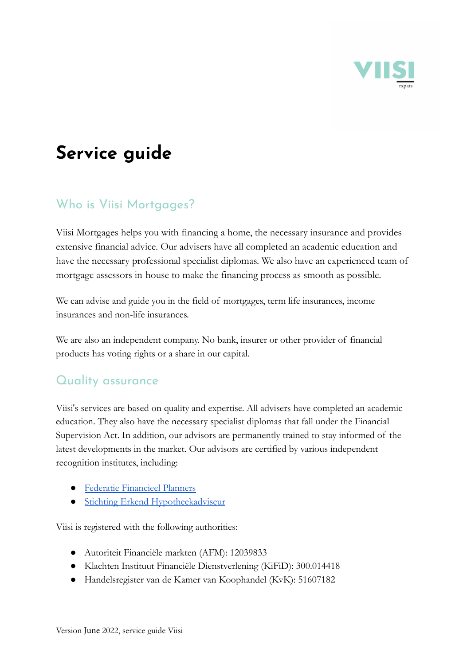

# **Service guide**

# Who is Viisi Mortgages?

Viisi Mortgages helps you with financing a home, the necessary insurance and provides extensive financial advice. Our advisers have all completed an academic education and have the necessary professional specialist diplomas. We also have an experienced team of mortgage assessors in-house to make the financing process as smooth as possible.

We can advise and guide you in the field of mortgages, term life insurances, income insurances and non-life insurances.

We are also an independent company. No bank, insurer or other provider of financial products has voting rights or a share in our capital.

### Quality assurance

Viisi's services are based on quality and expertise. All advisers have completed an academic education. They also have the necessary specialist diplomas that fall under the Financial Supervision Act. In addition, our advisors are permanently trained to stay informed of the latest developments in the market. Our advisors are certified by various independent recognition institutes, including:

- [Federatie Financieel Planners](https://ffp.nl/#)
- [Stichting Erkend Hypotheekadviseur](https://www.seh.nl/home)

Viisi is registered with the following authorities:

- Autoriteit Financiële markten (AFM): 12039833
- Klachten Instituut Financiële Dienstverlening (KiFiD): 300.014418
- Handelsregister van de Kamer van Koophandel (KvK): 51607182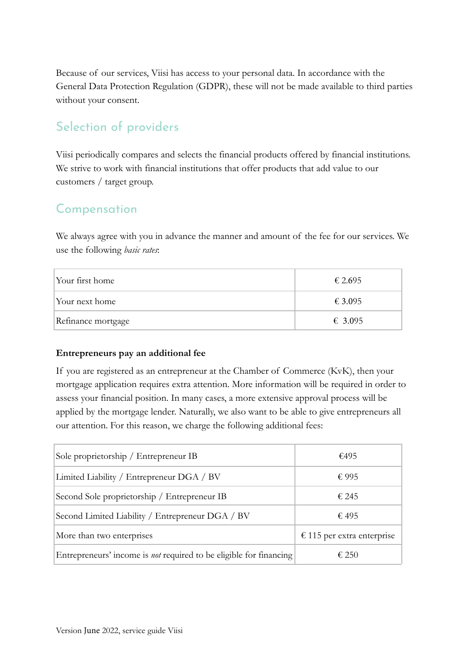Because of our services, Viisi has access to your personal data. In accordance with the General Data Protection Regulation (GDPR), these will not be made available to third parties without your consent.

# Selection of providers

Viisi periodically compares and selects the financial products offered by financial institutions. We strive to work with financial institutions that offer products that add value to our customers / target group.

## Compensation

We always agree with you in advance the manner and amount of the fee for our services. We use the following *basic rates*:

| Your first home    | € 2.695 |
|--------------------|---------|
| Your next home     | € 3.095 |
| Refinance mortgage | € 3.095 |

#### **Entrepreneurs pay an additional fee**

If you are registered as an entrepreneur at the Chamber of Commerce (KvK), then your mortgage application requires extra attention. More information will be required in order to assess your financial position. In many cases, a more extensive approval process will be applied by the mortgage lender. Naturally, we also want to be able to give entrepreneurs all our attention. For this reason, we charge the following additional fees:

| Sole proprietorship / Entrepreneur IB                                     | £495                       |
|---------------------------------------------------------------------------|----------------------------|
| Limited Liability / Entrepreneur DGA / BV                                 | € 995                      |
| Second Sole proprietorship / Entrepreneur IB                              | € 245                      |
| Second Limited Liability / Entrepreneur DGA / BV                          | € 495                      |
| More than two enterprises                                                 | € 115 per extra enterprise |
| Entrepreneurs' income is <i>not</i> required to be eligible for financing | € 250                      |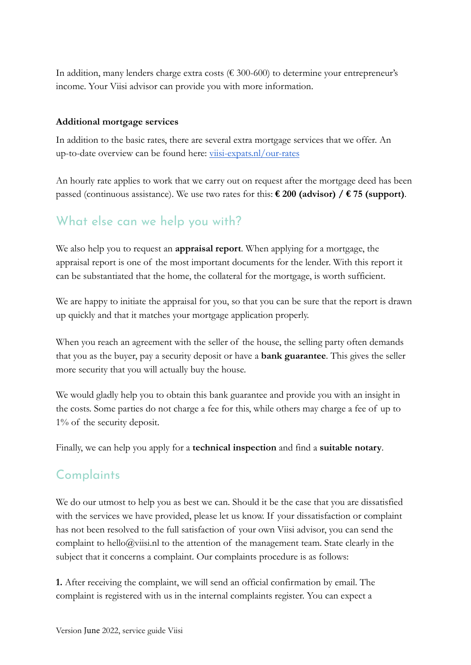In addition, many lenders charge extra costs ( $\epsilon$  300-600) to determine your entrepreneur's income. Your Viisi advisor can provide you with more information.

#### **Additional mortgage services**

In addition to the basic rates, there are several extra mortgage services that we offer. An up-to-date overview can be found here: [viisi-expats.nl/our-rates](https://www.viisi-expats.nl/our-rates/)

An hourly rate applies to work that we carry out on request after the mortgage deed has been passed (continuous assistance). We use two rates for this: **€ 200 (advisor) / € 75 (support)**.

## What else can we help you with?

We also help you to request an **appraisal report**. When applying for a mortgage, the appraisal report is one of the most important documents for the lender. With this report it can be substantiated that the home, the collateral for the mortgage, is worth sufficient.

We are happy to initiate the appraisal for you, so that you can be sure that the report is drawn up quickly and that it matches your mortgage application properly.

When you reach an agreement with the seller of the house, the selling party often demands that you as the buyer, pay a security deposit or have a **bank guarantee**. This gives the seller more security that you will actually buy the house.

We would gladly help you to obtain this bank guarantee and provide you with an insight in the costs. Some parties do not charge a fee for this, while others may charge a fee of up to 1% of the security deposit.

Finally, we can help you apply for a **technical inspection** and find a **suitable notary**.

### **Complaints**

We do our utmost to help you as best we can. Should it be the case that you are dissatisfied with the services we have provided, please let us know. If your dissatisfaction or complaint has not been resolved to the full satisfaction of your own Viisi advisor, you can send the complaint to hello@viisi.nl to the attention of the management team. State clearly in the subject that it concerns a complaint. Our complaints procedure is as follows:

**1.** After receiving the complaint, we will send an official confirmation by email. The complaint is registered with us in the internal complaints register. You can expect a